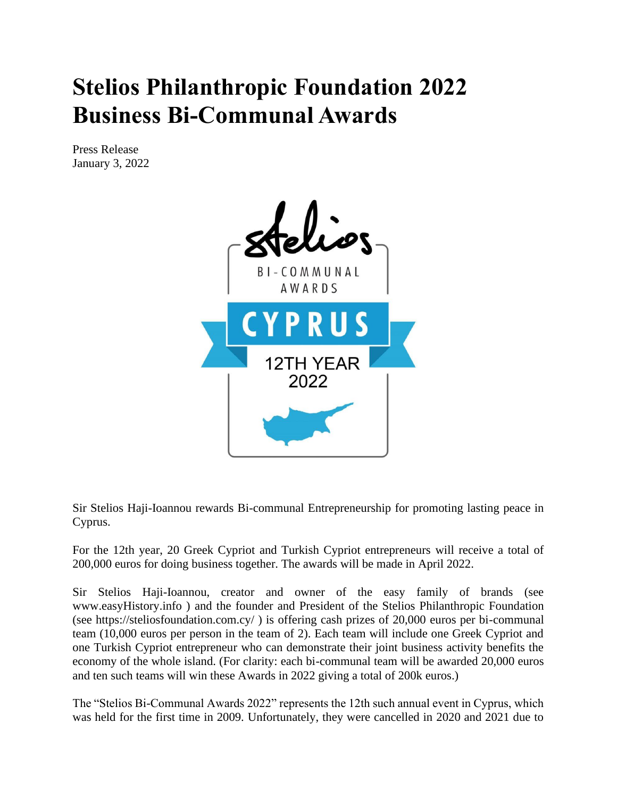## **Stelios Philanthropic Foundation 2022 Business Bi-Communal Awards**

Press Release January 3, 2022



Sir Stelios Haji-Ioannou rewards Bi-communal Entrepreneurship for promoting lasting peace in Cyprus.

For the 12th year, 20 Greek Cypriot and Turkish Cypriot entrepreneurs will receive a total of 200,000 euros for doing business together. The awards will be made in April 2022.

Sir Stelios Haji-Ioannou, creator and owner of the easy family of brands (see www.easyHistory.info ) and the founder and President of the Stelios Philanthropic Foundation (see https://steliosfoundation.com.cy/ ) is offering cash prizes of 20,000 euros per bi-communal team (10,000 euros per person in the team of 2). Each team will include one Greek Cypriot and one Turkish Cypriot entrepreneur who can demonstrate their joint business activity benefits the economy of the whole island. (For clarity: each bi-communal team will be awarded 20,000 euros and ten such teams will win these Awards in 2022 giving a total of 200k euros.)

The "Stelios Bi-Communal Awards 2022" represents the 12th such annual event in Cyprus, which was held for the first time in 2009. Unfortunately, they were cancelled in 2020 and 2021 due to